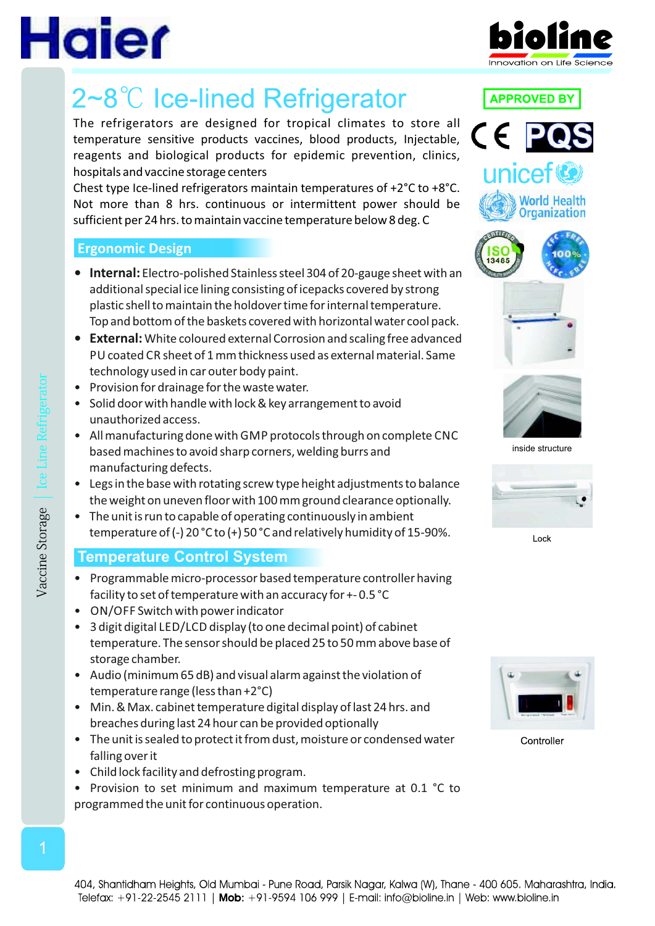

# 2~8℃ Ice-lined Refrigerator

The refrigerators are designed for tropical climates to store all temperature sensitive products vaccines, blood products, Injectable, reagents and biological products for epidemic prevention, clinics, hospitals and vaccine storage centers

Chest type Ice-lined refrigerators maintain temperatures of +2°C to +8°C. Not more than 8 hrs. continuous or intermittent power should be sufficient per 24 hrs. to maintain vaccine temperature below 8 deg. C

### **Ergonomic Design**

- **Internal:** Electro-polished Stainless steel 304 of 20-gauge sheet with an additional special ice lining consisting of icepacks covered by strong plastic shell to maintain the holdover time for internal temperature. Top and bottom of the baskets covered with horizontal water cool pack.
- **External:**White coloured external Corrosion and scaling free advanced PU coated CR sheet of 1 mm thickness used as external material. Same technology used in car outer body paint.
- Provision for drainage for the waste water.
- Solid door with handle with lock & key arrangement to avoid unauthorized access.
- All manufacturing done with GMP protocols through on complete CNC based machines to avoid sharp corners, welding burrs and manufacturing defects.
- Legs in the base with rotating screw type height adjustments to balance the weight on uneven floor with 100 mm ground clearance optionally.
- The unit is run to capable of operating continuously in ambient temperature of (-) 20 °C to (+) 50 °C and relatively humidity of 15-90%.

## **Temperature Control System**

- Programmable micro-processor based temperature controller having facility to set of temperature with an accuracy for +- 0.5 °C
- ON/OFF Switch with power indicator
- 3 digit digital LED/LCD display (to one decimal point) of cabinet temperature. The sensor should be placed 25 to 50 mm above base of storage chamber.
- Audio (minimum 65 dB) and visual alarm against the violation of temperature range (less than +2°C)
- Min. & Max. cabinet temperature digital display of last 24 hrs. and breaches during last 24 hour can be provided optionally
- The unit is sealed to protect it from dust, moisture or condensed water falling over it
- Child lock facility and defrosting program.
- Provision to set minimum and maximum temperature at 0.1 °C to programmed the unit for continuous operation.





**APPROVED BY** 



inside structure



Lock



Controller

404, Shantidham Heights, Old Mumbai - Pune Road, Parsik Nagar, Kalwa (W), Thane - 400 605. Maharashtra, India. Telefax: +91-22-2545 2111 | Mob: +91-9594 106 999 | E-mail: info@bioline.in | Web: www.bioline.in